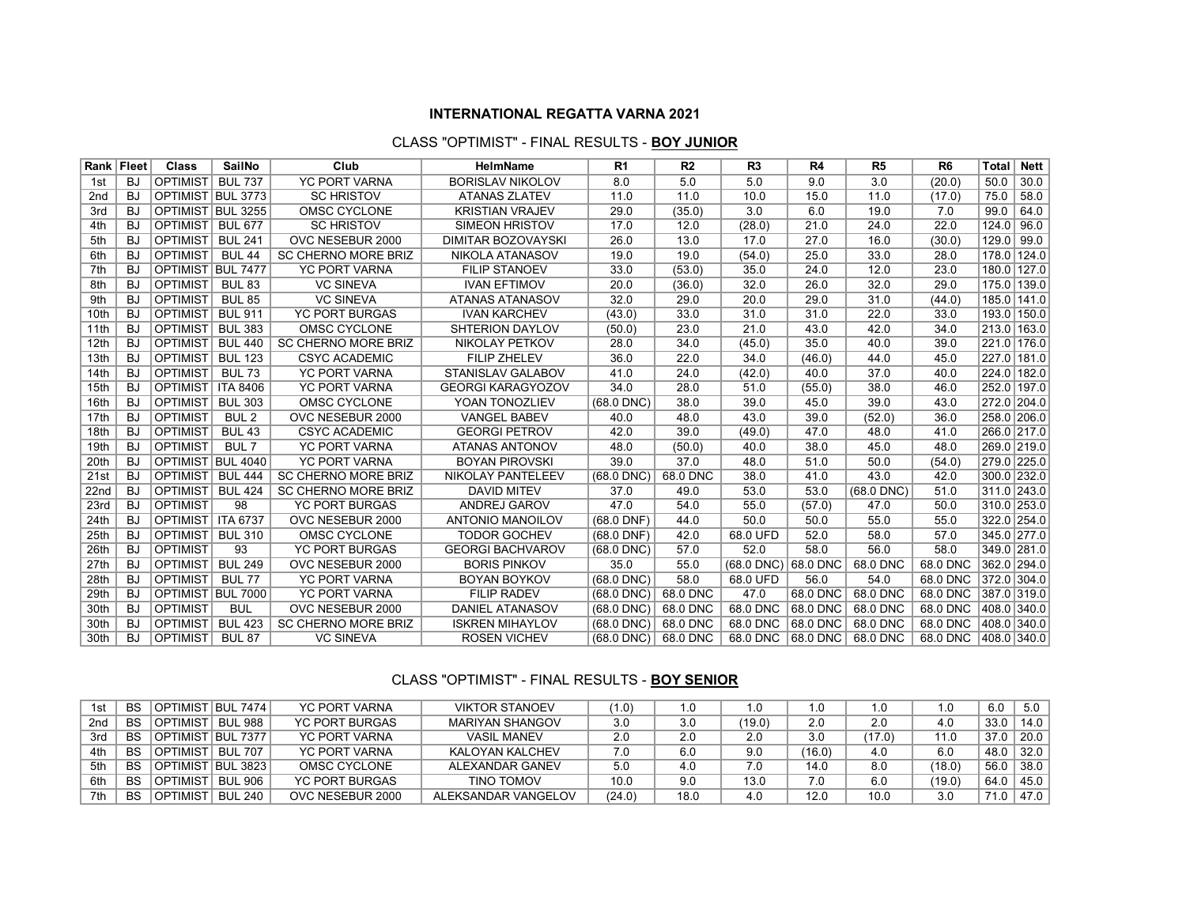#### **INTERNATIONAL REGATTA VARNA 2021**

### CLASS "OPTIMIST" - FINAL RESULTS - **BOY JUNIOR**

|                 | Rank   Fleet | <b>Class</b>      | <b>SailNo</b>    | Club                       | <b>HelmName</b>           | R <sub>1</sub> | R <sub>2</sub> | R <sub>3</sub>           | R4       | R <sub>5</sub>  | R <sub>6</sub> | Total       | <b>Nett</b> |
|-----------------|--------------|-------------------|------------------|----------------------------|---------------------------|----------------|----------------|--------------------------|----------|-----------------|----------------|-------------|-------------|
| 1st             | <b>BJ</b>    | <b>OPTIMIST</b>   | <b>BUL 737</b>   | <b>YC PORT VARNA</b>       | <b>BORISLAV NIKOLOV</b>   | 8.0            | 5.0            | 5.0                      | 9.0      | 3.0             | (20.0)         | 50.0        | 30.0        |
| 2 <sub>nd</sub> | BJ           | OPTIMIST BUL 3773 |                  | <b>SC HRISTOV</b>          | <b>ATANAS ZLATEV</b>      | 11.0           | 11.0           | 10.0                     | 15.0     | 11.0            | (17.0)         | 75.0        | 58.0        |
| 3rd             | <b>BJ</b>    | <b>OPTIMIST</b>   | <b>BUL 3255</b>  | OMSC CYCLONE               | <b>KRISTIAN VRAJEV</b>    | 29.0           | (35.0)         | 3.0                      | 6.0      | 19.0            | 7.0            | 99.0        | 64.0        |
| 4th             | <b>BJ</b>    | <b>OPTIMIST</b>   | <b>BUL 677</b>   | <b>SC HRISTOV</b>          | <b>SIMEON HRISTOV</b>     | 17.0           | 12.0           | (28.0)                   | 21.0     | 24.0            | 22.0           | 124.0       | 96.0        |
| 5th             | <b>BJ</b>    | <b>OPTIMIST</b>   | <b>BUL 241</b>   | OVC NESEBUR 2000           | <b>DIMITAR BOZOVAYSKI</b> | 26.0           | 13.0           | 17.0                     | 27.0     | 16.0            | (30.0)         | 129.0 99.0  |             |
| 6th             | BJ           | <b>OPTIMIST</b>   | <b>BUL 44</b>    | <b>SC CHERNO MORE BRIZ</b> | NIKOLA ATANASOV           | 19.0           | 19.0           | (54.0)                   | 25.0     | 33.0            | 28.0           | 178.0 124.0 |             |
| 7th             | BJ           | <b>OPTIMIST</b>   | <b>BUL 7477</b>  | <b>YC PORT VARNA</b>       | <b>FILIP STANOEV</b>      | 33.0           | (53.0)         | 35.0                     | 24.0     | 12.0            | 23.0           | 180.0 127.0 |             |
| 8th             | BJ           | <b>OPTIMIST</b>   | <b>BUL 83</b>    | <b>VC SINEVA</b>           | <b>IVAN EFTIMOV</b>       | 20.0           | (36.0)         | 32.0                     | 26.0     | 32.0            | 29.0           | 175.0 139.0 |             |
| 9th             | <b>BJ</b>    | <b>OPTIMIST</b>   | <b>BUL 85</b>    | <b>VC SINEVA</b>           | <b>ATANAS ATANASOV</b>    | 32.0           | 29.0           | 20.0                     | 29.0     | 31.0            | (44.0)         | 185.0 141.0 |             |
| 10th            | BJ           | <b>OPTIMIST</b>   | <b>BUL 911</b>   | <b>YC PORT BURGAS</b>      | <b>IVAN KARCHEV</b>       | (43.0)         | 33.0           | 31.0                     | 31.0     | 22.0            | 33.0           | 193.0 150.0 |             |
| 11th            | <b>BJ</b>    | <b>OPTIMIST</b>   | <b>BUL 383</b>   | OMSC CYCLONE               | <b>SHTERION DAYLOV</b>    | (50.0)         | 23.0           | 21.0                     | 43.0     | 42.0            | 34.0           | 213.0 163.0 |             |
| 12th            | <b>BJ</b>    | <b>OPTIMIST</b>   | <b>BUL 440</b>   | <b>SC CHERNO MORE BRIZ</b> | <b>NIKOLAY PETKOV</b>     | 28.0           | 34.0           | (45.0)                   | 35.0     | 40.0            | 39.0           | 221.0 176.0 |             |
| 13th            | <b>BJ</b>    | <b>OPTIMIST</b>   | <b>BUL 123</b>   | <b>CSYC ACADEMIC</b>       | <b>FILIP ZHELEV</b>       | 36.0           | 22.0           | 34.0                     | (46.0)   | 44.0            | 45.0           | 227.0 181.0 |             |
| 14th            | BJ           | <b>OPTIMIST</b>   | <b>BUL 73</b>    | <b>YC PORT VARNA</b>       | <b>STANISLAV GALABOV</b>  | 41.0           | 24.0           | (42.0)                   | 40.0     | 37.0            | 40.0           | 224.0 182.0 |             |
| 15th            | BJ           | <b>OPTIMIST</b>   | <b>ITA 8406</b>  | <b>YC PORT VARNA</b>       | <b>GEORGI KARAGYOZOV</b>  | 34.0           | 28.0           | 51.0                     | (55.0)   | 38.0            | 46.0           | 252.0 197.0 |             |
| 16th            | <b>BJ</b>    | <b>OPTIMIST</b>   | <b>BUL 303</b>   | OMSC CYCLONE               | YOAN TONOZLIEV            | $(68.0$ DNC)   | 38.0           | 39.0                     | 45.0     | 39.0            | 43.0           | 272.0 204.0 |             |
| 17th            | <b>BJ</b>    | <b>OPTIMIST</b>   | BUL <sub>2</sub> | OVC NESEBUR 2000           | <b>VANGEL BABEV</b>       | 40.0           | 48.0           | 43.0                     | 39.0     | (52.0)          | 36.0           | 258.0 206.0 |             |
| 18th            | BJ           | <b>OPTIMIST</b>   | <b>BUL 43</b>    | <b>CSYC ACADEMIC</b>       | <b>GEORGI PETROV</b>      | 42.0           | 39.0           | (49.0)                   | 47.0     | 48.0            | 41.0           | 266.0 217.0 |             |
| 19th            | <b>BJ</b>    | <b>OPTIMIST</b>   | BUL <sub>7</sub> | <b>YC PORT VARNA</b>       | ATANAS ANTONOV            | 48.0           | (50.0)         | 40.0                     | 38.0     | 45.0            | 48.0           | 269.0 219.0 |             |
| 20th            | <b>BJ</b>    | <b>OPTIMIST</b>   | <b>BUL 4040</b>  | <b>YC PORT VARNA</b>       | <b>BOYAN PIROVSKI</b>     | 39.0           | 37.0           | 48.0                     | 51.0     | 50.0            | (54.0)         | 279.0 225.0 |             |
| 21st            | <b>BJ</b>    | <b>OPTIMIST</b>   | <b>BUL 444</b>   | <b>SC CHERNO MORE BRIZ</b> | NIKOLAY PANTELEEV         | $(68.0$ DNC)   | 68.0 DNC       | 38.0                     | 41.0     | 43.0            | 42.0           | 300.0 232.0 |             |
| 22nd            | BJ           | <b>OPTIMIST</b>   | <b>BUL 424</b>   | <b>SC CHERNO MORE BRIZ</b> | <b>DAVID MITEV</b>        | 37.0           | 49.0           | 53.0                     | 53.0     | $(68.0$ DNC $)$ | 51.0           | 311.0 243.0 |             |
| 23rd            | BJ           | <b>OPTIMIST</b>   | 98               | <b>YC PORT BURGAS</b>      | ANDREJ GAROV              | 47.0           | 54.0           | 55.0                     | (57.0)   | 47.0            | 50.0           | 310.0 253.0 |             |
| 24th            | <b>BJ</b>    | <b>OPTIMIST</b>   | <b>ITA 6737</b>  | OVC NESEBUR 2000           | ANTONIO MANOILOV          | $(68.0$ DNF)   | 44.0           | 50.0                     | 50.0     | 55.0            | 55.0           | 322.0 254.0 |             |
| 25th            | BJ           | <b>OPTIMIST</b>   | <b>BUL 310</b>   | OMSC CYCLONE               | <b>TODOR GOCHEV</b>       | $(68.0$ DNF)   | 42.0           | 68.0 UFD                 | 52.0     | 58.0            | 57.0           | 345.0 277.0 |             |
| 26th            | <b>BJ</b>    | <b>OPTIMIST</b>   | 93               | <b>YC PORT BURGAS</b>      | <b>GEORGI BACHVAROV</b>   | $(68.0$ DNC)   | 57.0           | 52.0                     | 58.0     | 56.0            | 58.0           | 349.0 281.0 |             |
| 27th            | <b>BJ</b>    | <b>OPTIMIST</b>   | <b>BUL 249</b>   | OVC NESEBUR 2000           | <b>BORIS PINKOV</b>       | 35.0           | 55.0           | $(68.0$ DNC $)$ 68.0 DNC |          | 68.0 DNC        | 68.0 DNC       | 362.0 294.0 |             |
| 28th            | <b>BJ</b>    | <b>OPTIMIST</b>   | <b>BUL 77</b>    | <b>YC PORT VARNA</b>       | <b>BOYAN BOYKOV</b>       | $(68.0$ DNC)   | 58.0           | 68.0 UFD                 | 56.0     | 54.0            | 68.0 DNC       | 372.0 304.0 |             |
| 29th            | <b>BJ</b>    | OPTIMIST BUL 7000 |                  | <b>YC PORT VARNA</b>       | <b>FILIP RADEV</b>        | $(68.0$ DNC)   | 68.0 DNC       | 47.0                     | 68.0 DNC | 68.0 DNC        | 68.0 DNC       | 387.0 319.0 |             |
| 30th            | BJ           | <b>OPTIMIST</b>   | <b>BUL</b>       | OVC NESEBUR 2000           | <b>DANIEL ATANASOV</b>    | $(68.0$ DNC)   | 68.0 DNC       | 68.0 DNC                 | 68.0 DNC | 68.0 DNC        | 68.0 DNC       | 408.0 340.0 |             |
| 30th            | BJ.          | <b>OPTIMIST</b>   | <b>BUL 423</b>   | SC CHERNO MORE BRIZ        | <b>ISKREN MIHAYLOV</b>    | $(68.0$ DNC)   | 68.0 DNC       | 68.0 DNC                 | 68.0 DNC | 68.0 DNC        | 68.0 DNC       | 408.0 340.0 |             |
| 30th            | <b>BJ</b>    | <b>OPTIMIST</b>   | <b>BUL 87</b>    | <b>VC SINEVA</b>           | <b>ROSEN VICHEV</b>       | $(68.0$ DNC)   | 68.0 DNC       | 68.0 DNC                 | 68.0 DNC | 68.0 DNC        | 68.0 DNC       | 408.0 340.0 |             |

## CLASS "OPTIMIST" - FINAL RESULTS - **BOY SENIOR**

| 1st             | <b>BS</b> | <b>OPTIMIST</b><br>T BUL 7474 I            | <b>YC PORT VARNA</b>  | <b>VIKTOR STANOEV</b>  | (1.0)  | . 0  | .0     |        | 1.0    |        | 6.0  | 5.0  |
|-----------------|-----------|--------------------------------------------|-----------------------|------------------------|--------|------|--------|--------|--------|--------|------|------|
| 2 <sub>nd</sub> | <b>BS</b> | <b>BUL 988</b><br>OPTIMIST                 | <b>YC PORT BURGAS</b> | <b>MARIYAN SHANGOV</b> | 3.0    | 3.0  | (19.0) | 2.0    | 2.0    | 4.0    | 33.0 | 14.0 |
| 3rd             | BS        | <b>BUL 7377</b><br><b>OPTIMIST</b>         | <b>YC PORT VARNA</b>  | <b>VASIL MANEV</b>     | 2.0    | 2.0  | 2.0    | 3.0    | (17.0) |        | 37.0 | 20.0 |
| 4th             | <b>BS</b> | <b>BUL 707</b><br><b>OPTIMIST</b>          | <b>YC PORT VARNA</b>  | KALOYAN KALCHEV        | 7.0    | 6.0  | 9.0    | (16.0) | 4.0    | 6.0    | 48.0 | 32.0 |
| 5th             | BS        | TBUL 3823<br><b>OPTIMIST</b>               | OMSC CYCLONE          | ALEXANDAR GANEV        | 5.0    | 4.0  | 7.0    | 14.0   | 8.0    | (18.0) | 56.0 | 38.0 |
| 6th             | <b>BS</b> | <b>BUL 906</b><br><b>MIST</b><br>OPTI      | YC PORT BURGAS        | TINO TOMOV             | 10.0   | 9.0  | 13.0   |        | 6.0    | (19.0) | 64.0 | 45.0 |
| 7th             | <b>BS</b> | <b>MIST</b><br>$-240$<br><b>BUL</b><br>OP. | OVC NESEBUR 2000      | ALEKSANDAR VANGELOV    | (24.0) | 18.0 | 4.0    | 12.0   | 10.0   | 3.0    | 71.0 | 47.0 |